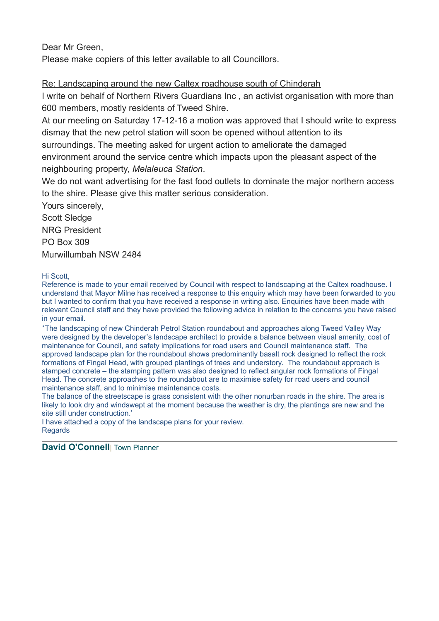Dear Mr Green,

Please make copiers of this letter available to all Councillors.

Re: Landscaping around the new Caltex roadhouse south of Chinderah

I write on behalf of Northern Rivers Guardians Inc , an activist organisation with more than 600 members, mostly residents of Tweed Shire.

At our meeting on Saturday 17-12-16 a motion was approved that I should write to express dismay that the new petrol station will soon be opened without attention to its

surroundings. The meeting asked for urgent action to ameliorate the damaged

environment around the service centre which impacts upon the pleasant aspect of the neighbouring property, *Melaleuca Station*.

We do not want advertising for the fast food outlets to dominate the major northern access to the shire. Please give this matter serious consideration.

Yours sincerely, Scott Sledge NRG President PO Box 309 Murwillumbah NSW 2484

Hi Scott,

Reference is made to your email received by Council with respect to landscaping at the Caltex roadhouse. I understand that Mayor Milne has received a response to this enquiry which may have been forwarded to you but I wanted to confirm that you have received a response in writing also. Enquiries have been made with relevant Council staff and they have provided the following advice in relation to the concerns you have raised in your email.

'The landscaping of new Chinderah Petrol Station roundabout and approaches along Tweed Valley Way were designed by the developer's landscape architect to provide a balance between visual amenity, cost of maintenance for Council, and safety implications for road users and Council maintenance staff. The approved landscape plan for the roundabout shows predominantly basalt rock designed to reflect the rock formations of Fingal Head, with grouped plantings of trees and understory. The roundabout approach is stamped concrete – the stamping pattern was also designed to reflect angular rock formations of Fingal Head. The concrete approaches to the roundabout are to maximise safety for road users and council maintenance staff, and to minimise maintenance costs.

The balance of the streetscape is grass consistent with the other nonurban roads in the shire. The area is likely to look dry and windswept at the moment because the weather is dry, the plantings are new and the site still under construction.'

I have attached a copy of the landscape plans for your review. Regards

**David O'Connell| Town Planner**